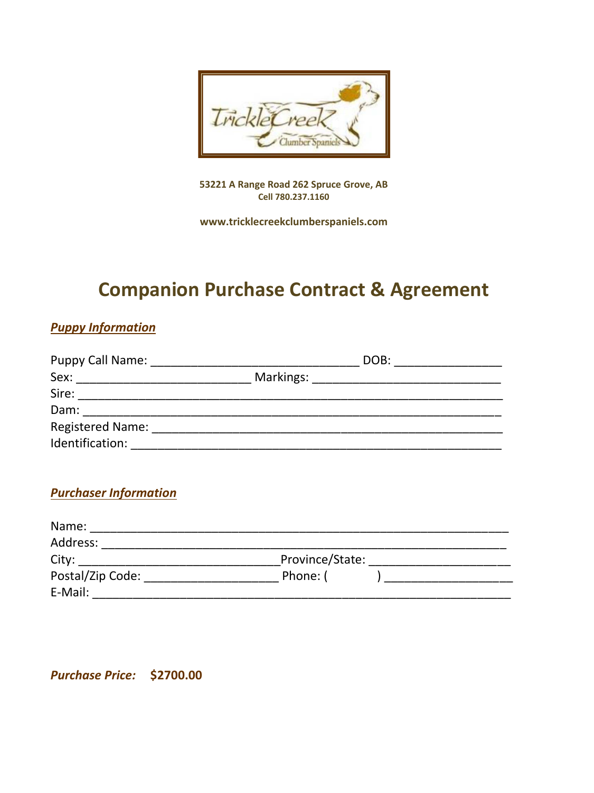

**53221 A Range Road 262 Spruce Grove, AB Cell 780.237.1160**

**www.tricklecreekclumberspaniels.com**

# **Companion Purchase Contract & Agreement**

### *Puppy Information*

| Puppy Call Name: Names | DOB: |  |  |
|------------------------|------|--|--|
| Sex:                   |      |  |  |
| Sire:                  |      |  |  |
| Dam:                   |      |  |  |
| Registered Name:       |      |  |  |
| Identification:        |      |  |  |

### *Purchaser Information*

| Name:            |                 |  |
|------------------|-----------------|--|
| Address:         |                 |  |
| City:            | Province/State: |  |
| Postal/Zip Code: | Phone: (        |  |
| E-Mail:          |                 |  |

*Purchase Price:* **\$2700.00**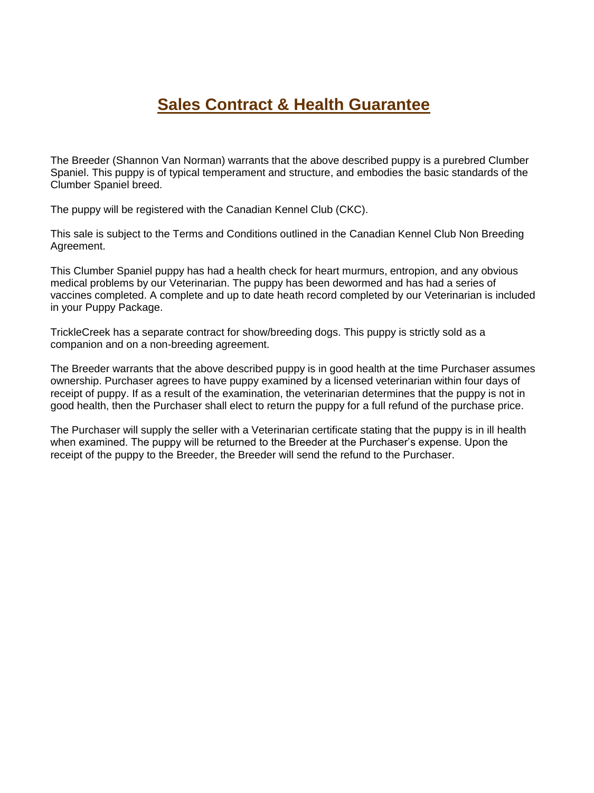## **Sales Contract & Health Guarantee**

The Breeder (Shannon Van Norman) warrants that the above described puppy is a purebred Clumber Spaniel. This puppy is of typical temperament and structure, and embodies the basic standards of the Clumber Spaniel breed.

The puppy will be registered with the Canadian Kennel Club (CKC).

This sale is subject to the Terms and Conditions outlined in the Canadian Kennel Club Non Breeding Agreement.

This Clumber Spaniel puppy has had a health check for heart murmurs, entropion, and any obvious medical problems by our Veterinarian. The puppy has been dewormed and has had a series of vaccines completed. A complete and up to date heath record completed by our Veterinarian is included in your Puppy Package.

TrickleCreek has a separate contract for show/breeding dogs. This puppy is strictly sold as a companion and on a non-breeding agreement.

The Breeder warrants that the above described puppy is in good health at the time Purchaser assumes ownership. Purchaser agrees to have puppy examined by a licensed veterinarian within four days of receipt of puppy. If as a result of the examination, the veterinarian determines that the puppy is not in good health, then the Purchaser shall elect to return the puppy for a full refund of the purchase price.

The Purchaser will supply the seller with a Veterinarian certificate stating that the puppy is in ill health when examined. The puppy will be returned to the Breeder at the Purchaser's expense. Upon the receipt of the puppy to the Breeder, the Breeder will send the refund to the Purchaser.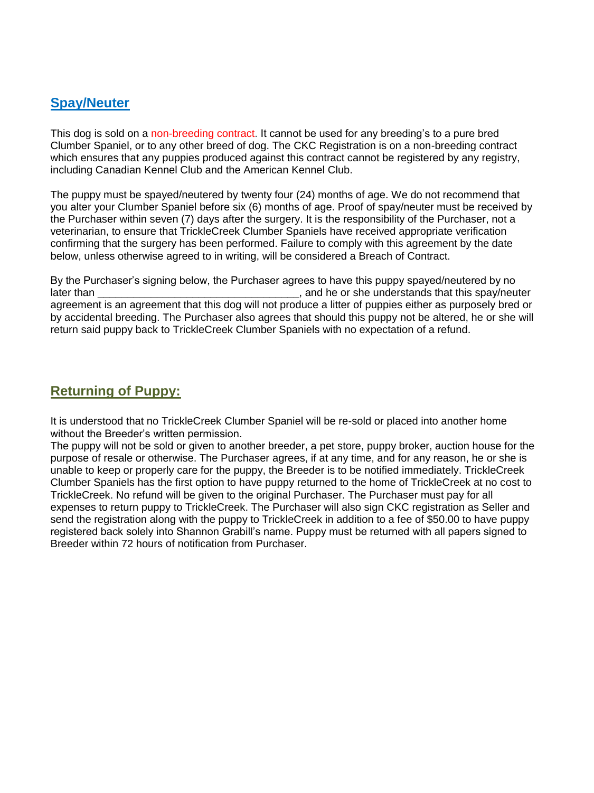#### **Spay/Neuter**

This dog is sold on a non-breeding contract. It cannot be used for any breeding's to a pure bred Clumber Spaniel, or to any other breed of dog. The CKC Registration is on a non-breeding contract which ensures that any puppies produced against this contract cannot be registered by any registry. including Canadian Kennel Club and the American Kennel Club.

The puppy must be spayed/neutered by twenty four (24) months of age. We do not recommend that you alter your Clumber Spaniel before six (6) months of age. Proof of spay/neuter must be received by the Purchaser within seven (7) days after the surgery. It is the responsibility of the Purchaser, not a veterinarian, to ensure that TrickleCreek Clumber Spaniels have received appropriate verification confirming that the surgery has been performed. Failure to comply with this agreement by the date below, unless otherwise agreed to in writing, will be considered a Breach of Contract.

By the Purchaser's signing below, the Purchaser agrees to have this puppy spayed/neutered by no later than  $\Box$  is a set of the state of the original that the spay/neuter sheet in the original that this spay/neuter agreement is an agreement that this dog will not produce a litter of puppies either as purposely bred or by accidental breeding. The Purchaser also agrees that should this puppy not be altered, he or she will return said puppy back to TrickleCreek Clumber Spaniels with no expectation of a refund.

### **Returning of Puppy:**

It is understood that no TrickleCreek Clumber Spaniel will be re-sold or placed into another home without the Breeder's written permission.

The puppy will not be sold or given to another breeder, a pet store, puppy broker, auction house for the purpose of resale or otherwise. The Purchaser agrees, if at any time, and for any reason, he or she is unable to keep or properly care for the puppy, the Breeder is to be notified immediately. TrickleCreek Clumber Spaniels has the first option to have puppy returned to the home of TrickleCreek at no cost to TrickleCreek. No refund will be given to the original Purchaser. The Purchaser must pay for all expenses to return puppy to TrickleCreek. The Purchaser will also sign CKC registration as Seller and send the registration along with the puppy to TrickleCreek in addition to a fee of \$50.00 to have puppy registered back solely into Shannon Grabill's name. Puppy must be returned with all papers signed to Breeder within 72 hours of notification from Purchaser.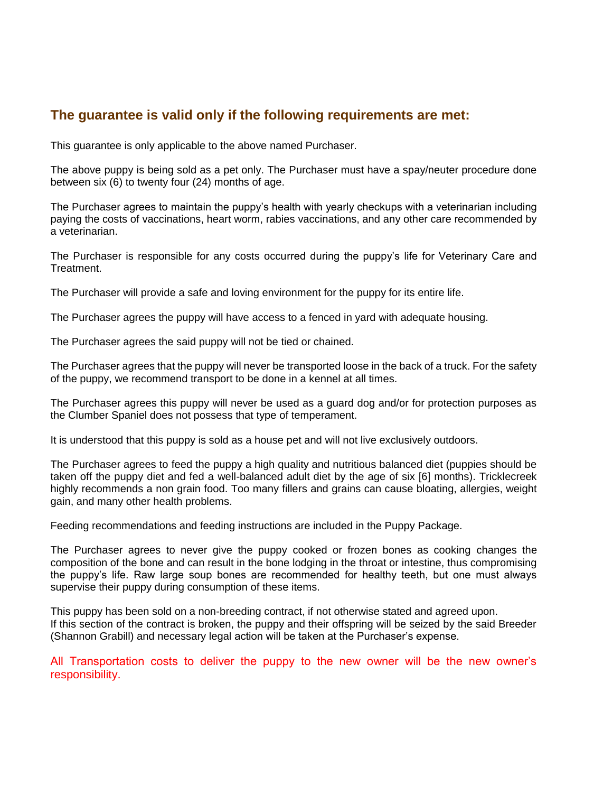#### **The guarantee is valid only if the following requirements are met:**

This guarantee is only applicable to the above named Purchaser.

The above puppy is being sold as a pet only. The Purchaser must have a spay/neuter procedure done between six (6) to twenty four (24) months of age.

The Purchaser agrees to maintain the puppy's health with yearly checkups with a veterinarian including paying the costs of vaccinations, heart worm, rabies vaccinations, and any other care recommended by a veterinarian.

The Purchaser is responsible for any costs occurred during the puppy's life for Veterinary Care and Treatment.

The Purchaser will provide a safe and loving environment for the puppy for its entire life.

The Purchaser agrees the puppy will have access to a fenced in yard with adequate housing.

The Purchaser agrees the said puppy will not be tied or chained.

The Purchaser agrees that the puppy will never be transported loose in the back of a truck. For the safety of the puppy, we recommend transport to be done in a kennel at all times.

The Purchaser agrees this puppy will never be used as a guard dog and/or for protection purposes as the Clumber Spaniel does not possess that type of temperament.

It is understood that this puppy is sold as a house pet and will not live exclusively outdoors.

The Purchaser agrees to feed the puppy a high quality and nutritious balanced diet (puppies should be taken off the puppy diet and fed a well-balanced adult diet by the age of six [6] months). Tricklecreek highly recommends a non grain food. Too many fillers and grains can cause bloating, allergies, weight gain, and many other health problems.

Feeding recommendations and feeding instructions are included in the Puppy Package.

The Purchaser agrees to never give the puppy cooked or frozen bones as cooking changes the composition of the bone and can result in the bone lodging in the throat or intestine, thus compromising the puppy's life. Raw large soup bones are recommended for healthy teeth, but one must always supervise their puppy during consumption of these items.

This puppy has been sold on a non-breeding contract, if not otherwise stated and agreed upon. If this section of the contract is broken, the puppy and their offspring will be seized by the said Breeder (Shannon Grabill) and necessary legal action will be taken at the Purchaser's expense.

All Transportation costs to deliver the puppy to the new owner will be the new owner's responsibility.